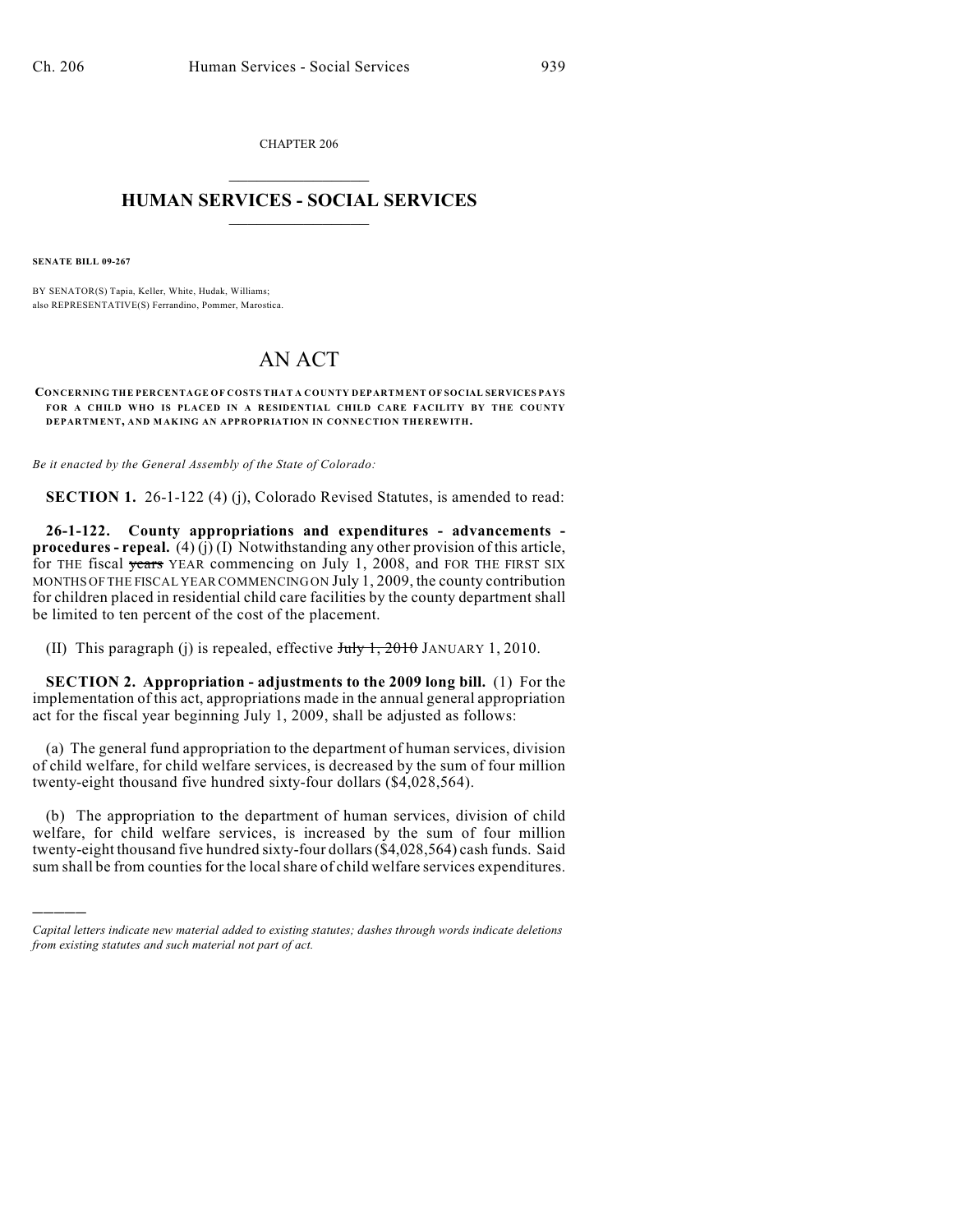CHAPTER 206  $\mathcal{L}_\text{max}$  . The set of the set of the set of the set of the set of the set of the set of the set of the set of the set of the set of the set of the set of the set of the set of the set of the set of the set of the set

## **HUMAN SERVICES - SOCIAL SERVICES**  $\frac{1}{2}$  ,  $\frac{1}{2}$  ,  $\frac{1}{2}$  ,  $\frac{1}{2}$  ,  $\frac{1}{2}$  ,  $\frac{1}{2}$  ,  $\frac{1}{2}$

**SENATE BILL 09-267**

)))))

BY SENATOR(S) Tapia, Keller, White, Hudak, Williams; also REPRESENTATIVE(S) Ferrandino, Pommer, Marostica.

## AN ACT

**CONCERNING THE PERCENTAGE OF COSTS THAT A COUNTY DEPARTMENT OF SOCIAL SERVICES PAYS FOR A CHILD WHO IS PLACED IN A RESIDENTIAL CHILD CARE FACILITY BY THE COUNTY DEPARTMENT, AND MAKING AN APPROPRIATION IN CONNECTION THEREWITH.**

*Be it enacted by the General Assembly of the State of Colorado:*

**SECTION 1.** 26-1-122 (4) (j), Colorado Revised Statutes, is amended to read:

**26-1-122. County appropriations and expenditures - advancements procedures - repeal.** (4) (j) (I) Notwithstanding any other provision of this article, for THE fiscal years YEAR commencing on July 1, 2008, and FOR THE FIRST SIX MONTHS OF THE FISCAL YEAR COMMENCING ON July 1, 2009, the county contribution for children placed in residential child care facilities by the county department shall be limited to ten percent of the cost of the placement.

(II) This paragraph (j) is repealed, effective  $J_{\text{t}}/J_{\text{t}}$ , 2010 JANUARY 1, 2010.

**SECTION 2. Appropriation - adjustments to the 2009 long bill.** (1) For the implementation of this act, appropriations made in the annual general appropriation act for the fiscal year beginning July 1, 2009, shall be adjusted as follows:

(a) The general fund appropriation to the department of human services, division of child welfare, for child welfare services, is decreased by the sum of four million twenty-eight thousand five hundred sixty-four dollars (\$4,028,564).

(b) The appropriation to the department of human services, division of child welfare, for child welfare services, is increased by the sum of four million twenty-eight thousand five hundred sixty-four dollars (\$4,028,564) cash funds. Said sum shall be from counties for the localshare of child welfare services expenditures.

*Capital letters indicate new material added to existing statutes; dashes through words indicate deletions from existing statutes and such material not part of act.*